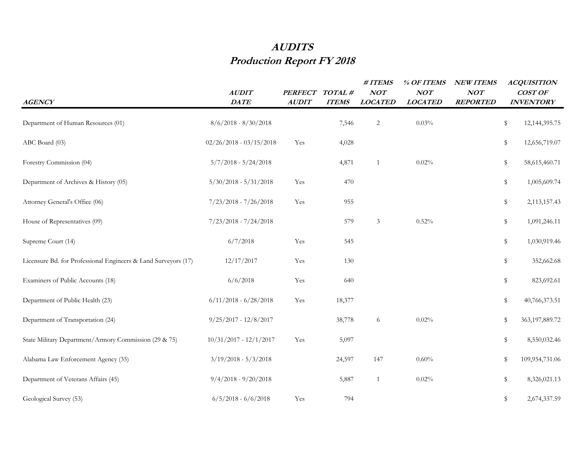## **AUDITS Production Report FY 2018**

| <b>AGENCY</b>                                                  | <b>AUDIT</b><br>DATE      | <b>PERFECT</b><br><b>AUDIT</b> | TOTAL #<br><b>ITEMS</b> | $\#$ ITEMS<br>NOT<br><b>LOCATED</b> | % OF ITEMS<br>NOT<br><b>LOCATED</b> | <b>NEW ITEMS</b><br>NOT<br><b>REPORTED</b> | <b>ACQUISITION</b><br><b>COST OF</b><br><b>INVENTORY</b> |                   |
|----------------------------------------------------------------|---------------------------|--------------------------------|-------------------------|-------------------------------------|-------------------------------------|--------------------------------------------|----------------------------------------------------------|-------------------|
| Department of Human Resources (01)                             | $8/6/2018 - 8/30/2018$    |                                | 7,546                   | $\overline{c}$                      | $0.03\%$                            |                                            | \$                                                       | 12, 144, 395. 75  |
| ABC Board (03)                                                 | $02/26/2018 - 03/15/2018$ | Yes                            | 4,028                   |                                     |                                     |                                            | \$                                                       | 12,656,719.07     |
| Forestry Commission (04)                                       | $5/7/2018 - 5/24/2018$    |                                | 4,871                   | $\overline{1}$                      | 0.02%                               |                                            | \$                                                       | 58,615,460.71     |
| Department of Archives & History (05)                          | $5/30/2018 - 5/31/2018$   | Yes                            | 470                     |                                     |                                     |                                            | \$                                                       | 1,005,609.74      |
| Attorney General's Office (06)                                 | $7/23/2018 - 7/26/2018$   | Yes                            | 955                     |                                     |                                     |                                            | \$                                                       | 2,113,157.43      |
| House of Representatives (09)                                  | $7/23/2018 - 7/24/2018$   |                                | 579                     | 3                                   | 0.52%                               |                                            | \$                                                       | 1,091,246.11      |
| Supreme Court (14)                                             | 6/7/2018                  | Yes                            | 545                     |                                     |                                     |                                            | \$                                                       | 1,030,919.46      |
| Licensure Bd. for Professional Engineers & Land Surveyors (17) | 12/17/2017                | Yes                            | 130                     |                                     |                                     |                                            | \$                                                       | 352,662.68        |
| Examiners of Public Accounts (18)                              | 6/6/2018                  | Yes                            | 640                     |                                     |                                     |                                            | \$                                                       | 823,692.61        |
| Department of Public Health (23)                               | $6/11/2018 - 6/28/2018$   | Yes                            | 18,377                  |                                     |                                     |                                            | \$                                                       | 40,766,373.51     |
| Department of Transportation (24)                              | $9/25/2017 - 12/8/2017$   |                                | 38,778                  | 6                                   | 0.02%                               |                                            | \$                                                       | 363, 197, 889. 72 |
| State Military Department/Armory Commission (29 & 75)          | $10/31/2017 - 12/1/2017$  | Yes                            | 5,097                   |                                     |                                     |                                            | \$                                                       | 8,550,032.46      |
| Alabama Law Enforcement Agency (35)                            | $3/19/2018 - 5/3/2018$    |                                | 24,597                  | 147                                 | $0.60\%$                            |                                            | \$                                                       | 109,954,731.06    |
| Department of Veterans Affairs (45)                            | $9/4/2018 - 9/20/2018$    |                                | 5,887                   | 1                                   | 0.02%                               |                                            | \$                                                       | 8,326,021.13      |
| Geological Survey (53)                                         | $6/5/2018 - 6/6/2018$     | Yes                            | 794                     |                                     |                                     |                                            | \$                                                       | 2,674,337.59      |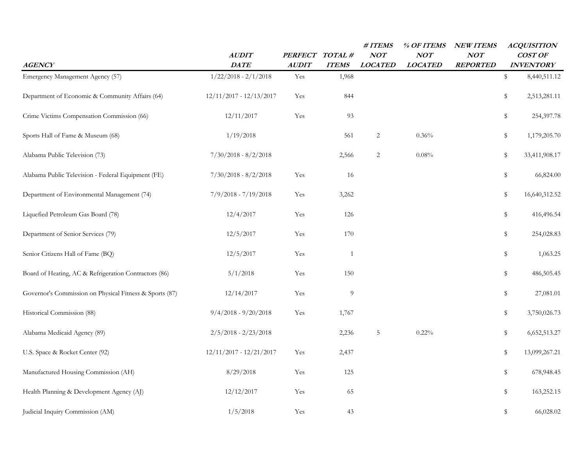| <b>AGENCY</b>                                           | AUDIT<br><b>DATE</b>    | PERFECT TOTAL #<br><b>AUDIT</b> | <b>ITEMS</b> | #ITEMS<br>NOT<br><b>LOCATED</b> | % OF ITEMS<br>NOT<br><b>LOCATED</b> | <b>NEW ITEMS</b><br>NOT<br><b>REPORTED</b> | <b>ACQUISITION</b><br>COST OF<br><b>INVENTORY</b> |
|---------------------------------------------------------|-------------------------|---------------------------------|--------------|---------------------------------|-------------------------------------|--------------------------------------------|---------------------------------------------------|
| Emergency Management Agency (57)                        | $1/22/2018 - 2/1/2018$  | Yes                             | 1,968        |                                 |                                     |                                            | \$<br>8,440,511.12                                |
| Department of Economic & Community Affairs (64)         | 12/11/2017 - 12/13/2017 | Yes                             | 844          |                                 |                                     |                                            | \$<br>2,513,281.11                                |
| Crime Victims Compensation Commission (66)              | 12/11/2017              | Yes                             | 93           |                                 |                                     |                                            | \$<br>254,397.78                                  |
| Sports Hall of Fame & Museum (68)                       | 1/19/2018               |                                 | 561          | 2                               | 0.36%                               |                                            | \$<br>1,179,205.70                                |
| Alabama Public Television (73)                          | $7/30/2018 - 8/2/2018$  |                                 | 2,566        | 2                               | 0.08%                               |                                            | \$<br>33,411,908.17                               |
| Alabama Public Television - Federal Equipment (FE)      | $7/30/2018 - 8/2/2018$  | Yes                             | 16           |                                 |                                     |                                            | \$<br>66,824.00                                   |
| Department of Environmental Management (74)             | $7/9/2018 - 7/19/2018$  | Yes                             | 3,262        |                                 |                                     |                                            | \$<br>16,640,312.52                               |
| Liquefied Petroleum Gas Board (78)                      | 12/4/2017               | Yes                             | 126          |                                 |                                     |                                            | \$<br>416,496.54                                  |
| Department of Senior Services (79)                      | 12/5/2017               | Yes                             | 170          |                                 |                                     |                                            | \$<br>254,028.83                                  |
| Senior Citizens Hall of Fame (BQ)                       | 12/5/2017               | Yes                             | $\mathbf{1}$ |                                 |                                     |                                            | \$<br>1,063.25                                    |
| Board of Heating, AC & Refrigeration Contractors (86)   | 5/1/2018                | Yes                             | 150          |                                 |                                     |                                            | \$<br>486,505.45                                  |
| Governor's Commission on Physical Fitness & Sports (87) | 12/14/2017              | Yes                             | 9            |                                 |                                     |                                            | \$<br>27,081.01                                   |
| Historical Commission (88)                              | $9/4/2018 - 9/20/2018$  | Yes                             | 1,767        |                                 |                                     |                                            | \$<br>3,750,026.73                                |
| Alabama Medicaid Agency (89)                            | $2/5/2018 - 2/23/2018$  |                                 | 2,236        | 5                               | 0.22%                               |                                            | \$<br>6,652,513.27                                |
| U.S. Space & Rocket Center (92)                         | 12/11/2017 - 12/21/2017 | Yes                             | 2,437        |                                 |                                     |                                            | \$<br>13,099,267.21                               |
| Manufactured Housing Commission (AH)                    | 8/29/2018               | Yes                             | 125          |                                 |                                     |                                            | \$<br>678,948.45                                  |
| Health Planning & Development Agency (AJ)               | 12/12/2017              | Yes                             | 65           |                                 |                                     |                                            | \$<br>163,252.15                                  |
| Judicial Inquiry Commission (AM)                        | 1/5/2018                | Yes                             | 43           |                                 |                                     |                                            | \$<br>66,028.02                                   |